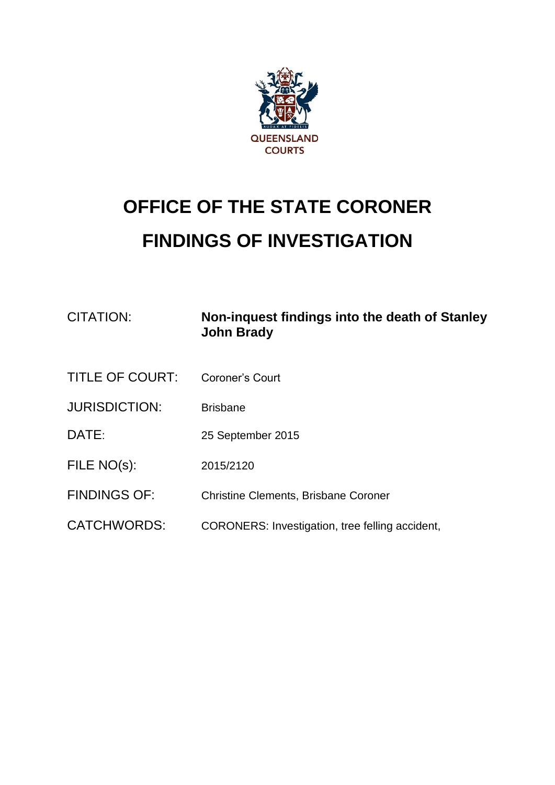

# **OFFICE OF THE STATE CORONER FINDINGS OF INVESTIGATION**

| CITATION:              | Non-inquest findings into the death of Stanley<br><b>John Brady</b> |
|------------------------|---------------------------------------------------------------------|
| <b>TITLE OF COURT:</b> | Coroner's Court                                                     |
| <b>JURISDICTION:</b>   | <b>Brisbane</b>                                                     |
| DATE:                  | 25 September 2015                                                   |
| FILE NO(s):            | 2015/2120                                                           |
| <b>FINDINGS OF:</b>    | <b>Christine Clements, Brisbane Coroner</b>                         |
| <b>CATCHWORDS:</b>     | CORONERS: Investigation, tree felling accident,                     |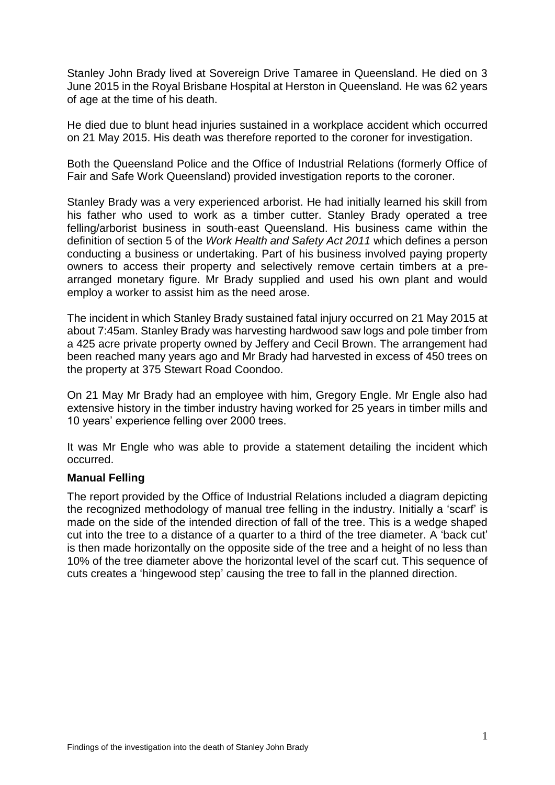Stanley John Brady lived at Sovereign Drive Tamaree in Queensland. He died on 3 June 2015 in the Royal Brisbane Hospital at Herston in Queensland. He was 62 years of age at the time of his death.

He died due to blunt head injuries sustained in a workplace accident which occurred on 21 May 2015. His death was therefore reported to the coroner for investigation.

Both the Queensland Police and the Office of Industrial Relations (formerly Office of Fair and Safe Work Queensland) provided investigation reports to the coroner.

Stanley Brady was a very experienced arborist. He had initially learned his skill from his father who used to work as a timber cutter. Stanley Brady operated a tree felling/arborist business in south-east Queensland. His business came within the definition of section 5 of the *Work Health and Safety Act 2011* which defines a person conducting a business or undertaking. Part of his business involved paying property owners to access their property and selectively remove certain timbers at a prearranged monetary figure. Mr Brady supplied and used his own plant and would employ a worker to assist him as the need arose.

The incident in which Stanley Brady sustained fatal injury occurred on 21 May 2015 at about 7:45am. Stanley Brady was harvesting hardwood saw logs and pole timber from a 425 acre private property owned by Jeffery and Cecil Brown. The arrangement had been reached many years ago and Mr Brady had harvested in excess of 450 trees on the property at 375 Stewart Road Coondoo.

On 21 May Mr Brady had an employee with him, Gregory Engle. Mr Engle also had extensive history in the timber industry having worked for 25 years in timber mills and 10 years' experience felling over 2000 trees.

It was Mr Engle who was able to provide a statement detailing the incident which occurred.

#### **Manual Felling**

The report provided by the Office of Industrial Relations included a diagram depicting the recognized methodology of manual tree felling in the industry. Initially a 'scarf' is made on the side of the intended direction of fall of the tree. This is a wedge shaped cut into the tree to a distance of a quarter to a third of the tree diameter. A 'back cut' is then made horizontally on the opposite side of the tree and a height of no less than 10% of the tree diameter above the horizontal level of the scarf cut. This sequence of cuts creates a 'hingewood step' causing the tree to fall in the planned direction.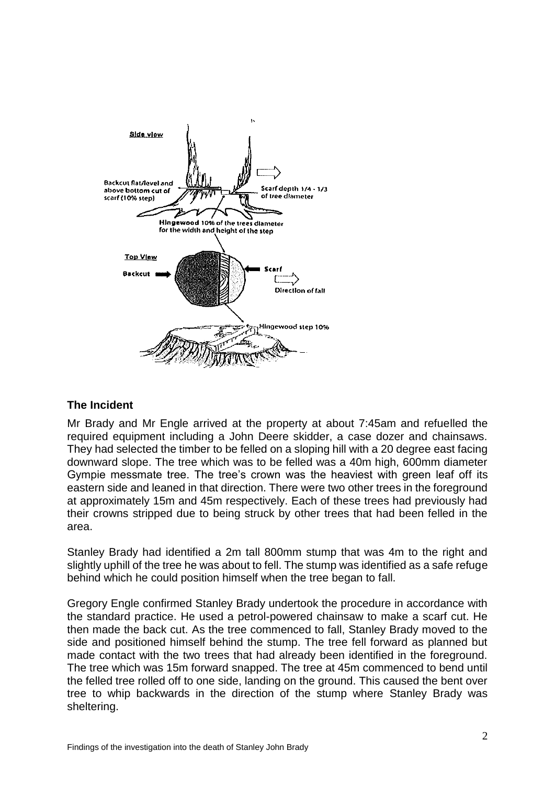

# **The Incident**

Mr Brady and Mr Engle arrived at the property at about 7:45am and refuelled the required equipment including a John Deere skidder, a case dozer and chainsaws. They had selected the timber to be felled on a sloping hill with a 20 degree east facing downward slope. The tree which was to be felled was a 40m high, 600mm diameter Gympie messmate tree. The tree's crown was the heaviest with green leaf off its eastern side and leaned in that direction. There were two other trees in the foreground at approximately 15m and 45m respectively. Each of these trees had previously had their crowns stripped due to being struck by other trees that had been felled in the area.

Stanley Brady had identified a 2m tall 800mm stump that was 4m to the right and slightly uphill of the tree he was about to fell. The stump was identified as a safe refuge behind which he could position himself when the tree began to fall.

Gregory Engle confirmed Stanley Brady undertook the procedure in accordance with the standard practice. He used a petrol-powered chainsaw to make a scarf cut. He then made the back cut. As the tree commenced to fall, Stanley Brady moved to the side and positioned himself behind the stump. The tree fell forward as planned but made contact with the two trees that had already been identified in the foreground. The tree which was 15m forward snapped. The tree at 45m commenced to bend until the felled tree rolled off to one side, landing on the ground. This caused the bent over tree to whip backwards in the direction of the stump where Stanley Brady was sheltering.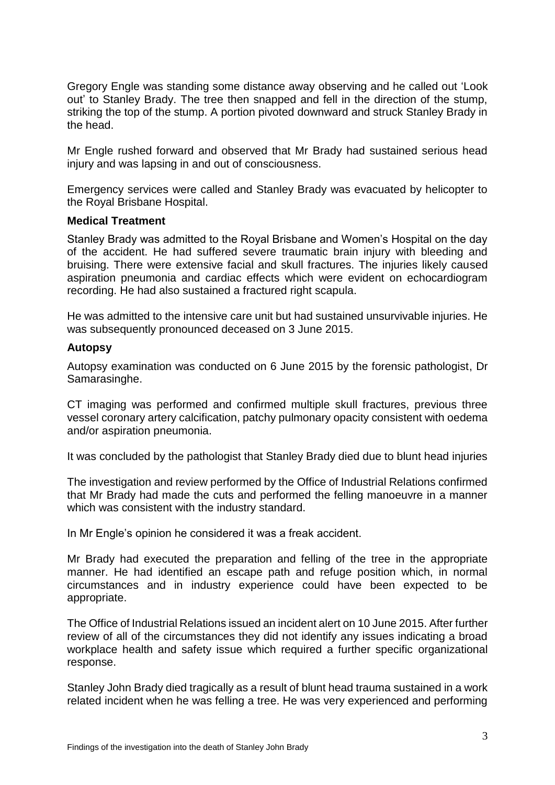Gregory Engle was standing some distance away observing and he called out 'Look out' to Stanley Brady. The tree then snapped and fell in the direction of the stump, striking the top of the stump. A portion pivoted downward and struck Stanley Brady in the head.

Mr Engle rushed forward and observed that Mr Brady had sustained serious head injury and was lapsing in and out of consciousness.

Emergency services were called and Stanley Brady was evacuated by helicopter to the Royal Brisbane Hospital.

## **Medical Treatment**

Stanley Brady was admitted to the Royal Brisbane and Women's Hospital on the day of the accident. He had suffered severe traumatic brain injury with bleeding and bruising. There were extensive facial and skull fractures. The injuries likely caused aspiration pneumonia and cardiac effects which were evident on echocardiogram recording. He had also sustained a fractured right scapula.

He was admitted to the intensive care unit but had sustained unsurvivable injuries. He was subsequently pronounced deceased on 3 June 2015.

## **Autopsy**

Autopsy examination was conducted on 6 June 2015 by the forensic pathologist, Dr Samarasinghe.

CT imaging was performed and confirmed multiple skull fractures, previous three vessel coronary artery calcification, patchy pulmonary opacity consistent with oedema and/or aspiration pneumonia.

It was concluded by the pathologist that Stanley Brady died due to blunt head injuries

The investigation and review performed by the Office of Industrial Relations confirmed that Mr Brady had made the cuts and performed the felling manoeuvre in a manner which was consistent with the industry standard.

In Mr Engle's opinion he considered it was a freak accident.

Mr Brady had executed the preparation and felling of the tree in the appropriate manner. He had identified an escape path and refuge position which, in normal circumstances and in industry experience could have been expected to be appropriate.

The Office of Industrial Relations issued an incident alert on 10 June 2015. After further review of all of the circumstances they did not identify any issues indicating a broad workplace health and safety issue which required a further specific organizational response.

Stanley John Brady died tragically as a result of blunt head trauma sustained in a work related incident when he was felling a tree. He was very experienced and performing